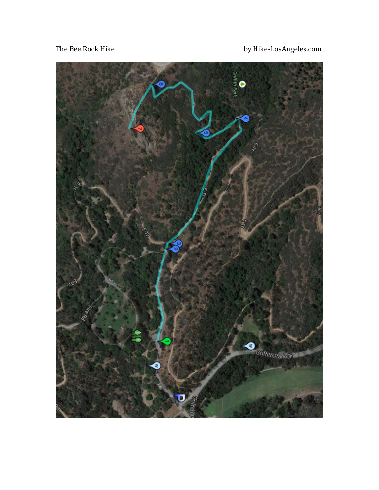The Bee Rock Hike

by Hike-LosAngeles.com

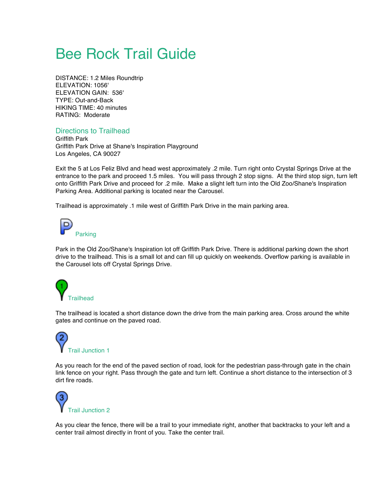## **Bee Rock Trail Guide**

DISTANCE: 1.2 Miles Roundtrip ELEVATION: 1056' ELEVATION GAIN: 536' TYPE: Out-and-Back HIKING TIME: 40 minutes RATING: Moderate

## Directions to Trailhead

Griffith Park Griffith Park Drive at Shane's Inspiration Playground Los Angeles, CA 90027

Exit the 5 at Los Feliz Blvd and head west approximately .2 mile. Turn right onto Crystal Springs Drive at the entrance to the park and proceed 1.5 miles. You will pass through 2 stop signs. At the third stop sign, turn left onto Griffith Park Drive and proceed for .2 mile. Make a slight left turn into the Old Zoo/Shane's Inspiration Parking Area. Additional parking is located near the Carousel.

Trailhead is approximately .1 mile west of Griffith Park Drive in the main parking area.



Park in the Old Zoo/Shane's Inspiration lot off Griffith Park Drive. There is additional parking down the short drive to the trailhead. This is a small lot and can fill up quickly on weekends. Overflow parking is available in the Carousel lots off Crystal Springs Drive.



The trailhead is located a short distance down the drive from the main parking area. Cross around the white gates and continue on the paved road.



As you reach for the end of the paved section of road, look for the pedestrian pass-through gate in the chain link fence on your right. Pass through the gate and turn left. Continue a short distance to the intersection of 3 dirt fire roads.



As you clear the fence, there will be a trail to your immediate right, another that backtracks to your left and a center trail almost directly in front of you. Take the center trail.